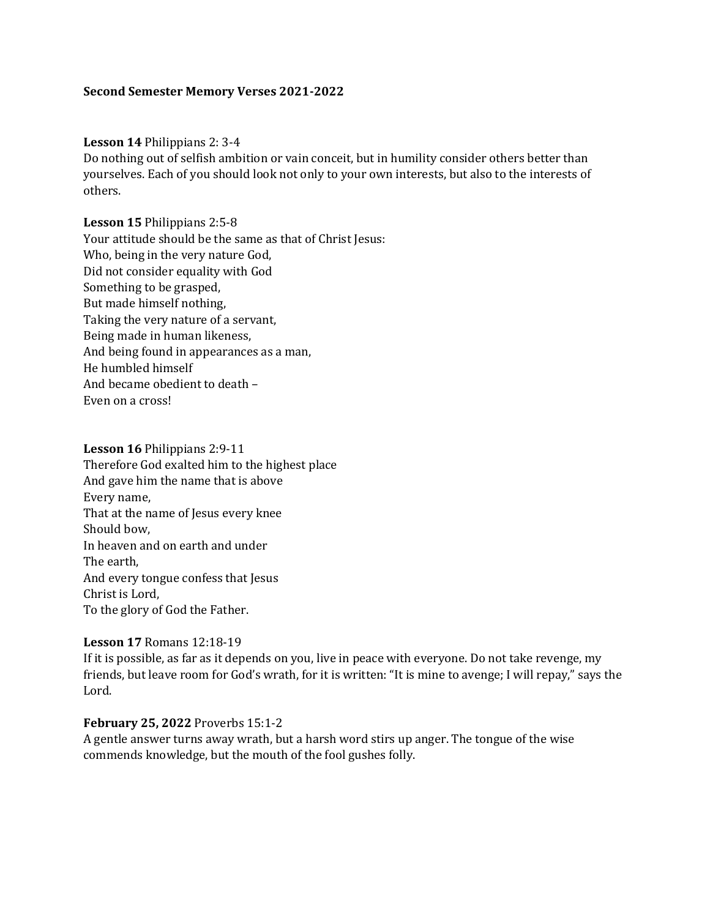#### **Second Semester Memory Verses 2021-2022**

#### **Lesson 14** Philippians 2: 3-4

Do nothing out of selfish ambition or vain conceit, but in humility consider others better than yourselves. Each of you should look not only to your own interests, but also to the interests of others.

**Lesson 15** Philippians 2:5-8 Your attitude should be the same as that of Christ Jesus: Who, being in the very nature God, Did not consider equality with God Something to be grasped, But made himself nothing, Taking the very nature of a servant, Being made in human likeness, And being found in appearances as a man, He humbled himself And became obedient to death – Even on a cross!

**Lesson 16** Philippians 2:9-11 Therefore God exalted him to the highest place And gave him the name that is above Every name, That at the name of Jesus every knee Should bow, In heaven and on earth and under The earth, And every tongue confess that Jesus Christ is Lord, To the glory of God the Father.

#### **Lesson 17** Romans 12:18-19

If it is possible, as far as it depends on you, live in peace with everyone. Do not take revenge, my friends, but leave room for God's wrath, for it is written: "It is mine to avenge; I will repay," says the Lord.

#### **February 25, 2022** Proverbs 15:1-2

A gentle answer turns away wrath, but a harsh word stirs up anger. The tongue of the wise commends knowledge, but the mouth of the fool gushes folly.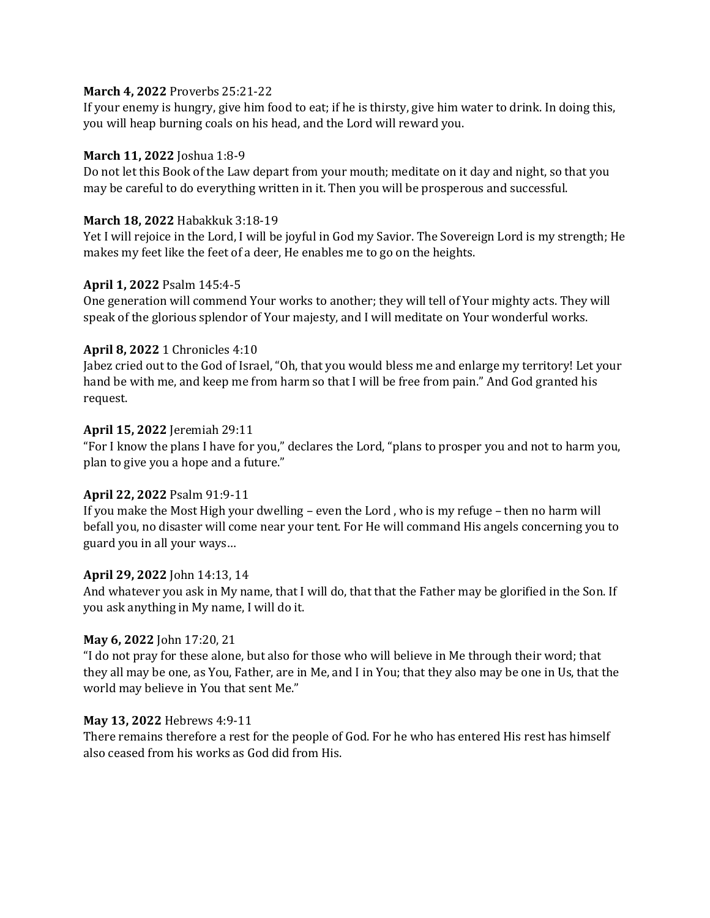## **March 4, 2022** Proverbs 25:21-22

If your enemy is hungry, give him food to eat; if he is thirsty, give him water to drink. In doing this, you will heap burning coals on his head, and the Lord will reward you.

# **March 11, 2022** Joshua 1:8-9

Do not let this Book of the Law depart from your mouth; meditate on it day and night, so that you may be careful to do everything written in it. Then you will be prosperous and successful.

## **March 18, 2022** Habakkuk 3:18-19

Yet I will rejoice in the Lord, I will be joyful in God my Savior. The Sovereign Lord is my strength; He makes my feet like the feet of a deer, He enables me to go on the heights.

# **April 1, 2022** Psalm 145:4-5

One generation will commend Your works to another; they will tell of Your mighty acts. They will speak of the glorious splendor of Your majesty, and I will meditate on Your wonderful works.

## **April 8, 2022** 1 Chronicles 4:10

Jabez cried out to the God of Israel, "Oh, that you would bless me and enlarge my territory! Let your hand be with me, and keep me from harm so that I will be free from pain." And God granted his request.

## **April 15, 2022** Jeremiah 29:11

"For I know the plans I have for you," declares the Lord, "plans to prosper you and not to harm you, plan to give you a hope and a future."

# **April 22, 2022** Psalm 91:9-11

If you make the Most High your dwelling – even the Lord , who is my refuge – then no harm will befall you, no disaster will come near your tent. For He will command His angels concerning you to guard you in all your ways…

### **April 29, 2022** John 14:13, 14

And whatever you ask in My name, that I will do, that that the Father may be glorified in the Son. If you ask anything in My name, I will do it.

### **May 6, 2022** John 17:20, 21

"I do not pray for these alone, but also for those who will believe in Me through their word; that they all may be one, as You, Father, are in Me, and I in You; that they also may be one in Us, that the world may believe in You that sent Me."

### **May 13, 2022** Hebrews 4:9-11

There remains therefore a rest for the people of God. For he who has entered His rest has himself also ceased from his works as God did from His.